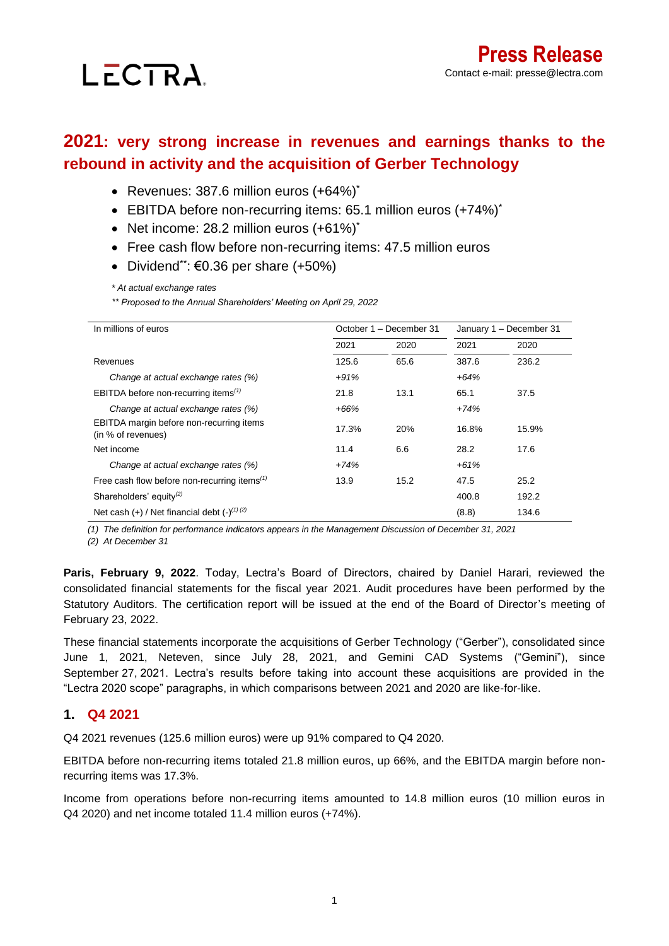# LECTRA.

# **2021: very strong increase in revenues and earnings thanks to the rebound in activity and the acquisition of Gerber Technology**

- Revenues: 387.6 million euros (+64%)\*
- EBITDA before non-recurring items: 65.1 million euros (+74%)<sup>\*</sup>
- Net income: 28.2 million euros  $(+61\%)^*$
- Free cash flow before non-recurring items: 47.5 million euros
- Dividend\*\*:  $\epsilon$ 0.36 per share  $(+50\%)$

*\* At actual exchange rates*

*\*\* Proposed to the Annual Shareholders' Meeting on April 29, 2022*

| In millions of euros                                           | October 1 - December 31 |      | January 1 - December 31 |       |
|----------------------------------------------------------------|-------------------------|------|-------------------------|-------|
|                                                                | 2021                    | 2020 | 2021                    | 2020  |
| Revenues                                                       | 125.6                   | 65.6 | 387.6                   | 236.2 |
| Change at actual exchange rates (%)                            | $+91%$                  |      | $+64%$                  |       |
| EBITDA before non-recurring items $(1)$                        | 21.8                    | 13.1 | 65.1                    | 37.5  |
| Change at actual exchange rates (%)                            | +66%                    |      | $+74%$                  |       |
| EBITDA margin before non-recurring items<br>(in % of revenues) | 17.3%                   | 20%  | 16.8%                   | 15.9% |
| Net income                                                     | 11.4                    | 6.6  | 28.2                    | 17.6  |
| Change at actual exchange rates (%)                            | $+74%$                  |      | $+61%$                  |       |
| Free cash flow before non-recurring items <sup>(1)</sup>       | 13.9                    | 15.2 | 47.5                    | 25.2  |
| Shareholders' equity $(2)$                                     |                         |      | 400.8                   | 192.2 |
| Net cash $(+)$ / Net financial debt $(-)^{(1)(2)}$             |                         |      | (8.8)                   | 134.6 |

*(1) The definition for performance indicators appears in the Management Discussion of December 31, 2021*

*(2) At December 31*

**Paris, February 9, 2022**. Today, Lectra's Board of Directors, chaired by Daniel Harari, reviewed the consolidated financial statements for the fiscal year 2021. Audit procedures have been performed by the Statutory Auditors. The certification report will be issued at the end of the Board of Director's meeting of February 23, 2022.

These financial statements incorporate the acquisitions of Gerber Technology ("Gerber"), consolidated since June 1, 2021, Neteven, since July 28, 2021, and Gemini CAD Systems ("Gemini"), since September 27, 2021. Lectra's results before taking into account these acquisitions are provided in the "Lectra 2020 scope" paragraphs, in which comparisons between 2021 and 2020 are like-for-like.

# **1. Q4 2021**

Q4 2021 revenues (125.6 million euros) were up 91% compared to Q4 2020.

EBITDA before non-recurring items totaled 21.8 million euros, up 66%, and the EBITDA margin before nonrecurring items was 17.3%.

Income from operations before non-recurring items amounted to 14.8 million euros (10 million euros in Q4 2020) and net income totaled 11.4 million euros (+74%).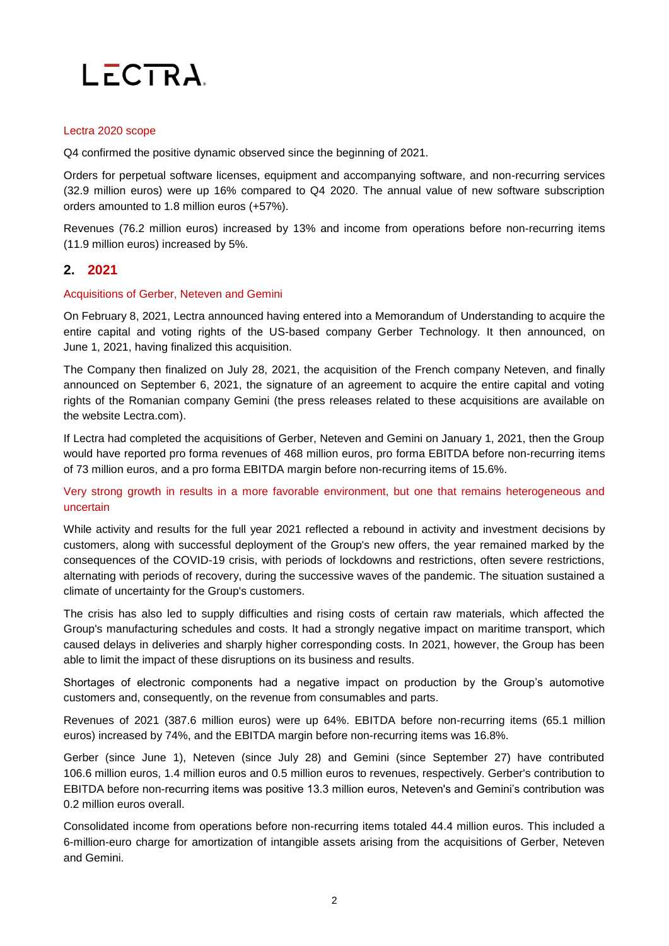

#### Lectra 2020 scope

Q4 confirmed the positive dynamic observed since the beginning of 2021.

Orders for perpetual software licenses, equipment and accompanying software, and non-recurring services (32.9 million euros) were up 16% compared to Q4 2020. The annual value of new software subscription orders amounted to 1.8 million euros (+57%).

Revenues (76.2 million euros) increased by 13% and income from operations before non-recurring items (11.9 million euros) increased by 5%.

#### **2. 2021**

#### Acquisitions of Gerber, Neteven and Gemini

On February 8, 2021, Lectra announced having entered into a Memorandum of Understanding to acquire the entire capital and voting rights of the US-based company Gerber Technology. It then announced, on June 1, 2021, having finalized this acquisition.

The Company then finalized on July 28, 2021, the acquisition of the French company Neteven, and finally announced on September 6, 2021, the signature of an agreement to acquire the entire capital and voting rights of the Romanian company Gemini (the press releases related to these acquisitions are available on the website Lectra.com).

If Lectra had completed the acquisitions of Gerber, Neteven and Gemini on January 1, 2021, then the Group would have reported pro forma revenues of 468 million euros, pro forma EBITDA before non-recurring items of 73 million euros, and a pro forma EBITDA margin before non-recurring items of 15.6%.

Very strong growth in results in a more favorable environment, but one that remains heterogeneous and uncertain

While activity and results for the full year 2021 reflected a rebound in activity and investment decisions by customers, along with successful deployment of the Group's new offers, the year remained marked by the consequences of the COVID-19 crisis, with periods of lockdowns and restrictions, often severe restrictions, alternating with periods of recovery, during the successive waves of the pandemic. The situation sustained a climate of uncertainty for the Group's customers.

The crisis has also led to supply difficulties and rising costs of certain raw materials, which affected the Group's manufacturing schedules and costs. It had a strongly negative impact on maritime transport, which caused delays in deliveries and sharply higher corresponding costs. In 2021, however, the Group has been able to limit the impact of these disruptions on its business and results.

Shortages of electronic components had a negative impact on production by the Group's automotive customers and, consequently, on the revenue from consumables and parts.

Revenues of 2021 (387.6 million euros) were up 64%. EBITDA before non-recurring items (65.1 million euros) increased by 74%, and the EBITDA margin before non-recurring items was 16.8%.

Gerber (since June 1), Neteven (since July 28) and Gemini (since September 27) have contributed 106.6 million euros, 1.4 million euros and 0.5 million euros to revenues, respectively. Gerber's contribution to EBITDA before non-recurring items was positive 13.3 million euros, Neteven's and Gemini's contribution was 0.2 million euros overall.

Consolidated income from operations before non-recurring items totaled 44.4 million euros. This included a 6-million-euro charge for amortization of intangible assets arising from the acquisitions of Gerber, Neteven and Gemini.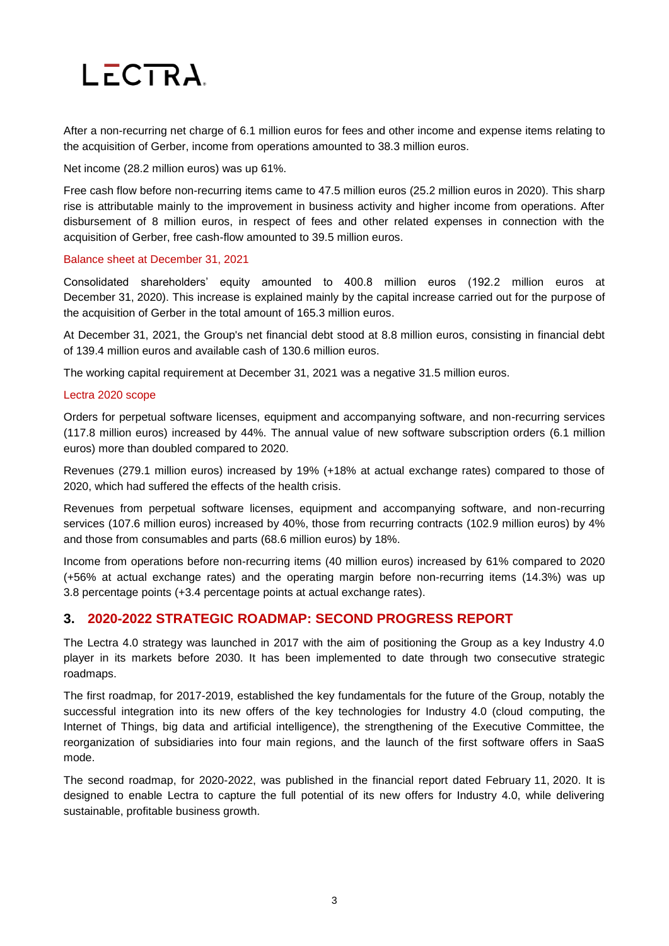# LECTRA.

After a non-recurring net charge of 6.1 million euros for fees and other income and expense items relating to the acquisition of Gerber, income from operations amounted to 38.3 million euros.

Net income (28.2 million euros) was up 61%.

Free cash flow before non-recurring items came to 47.5 million euros (25.2 million euros in 2020). This sharp rise is attributable mainly to the improvement in business activity and higher income from operations. After disbursement of 8 million euros, in respect of fees and other related expenses in connection with the acquisition of Gerber, free cash-flow amounted to 39.5 million euros.

#### Balance sheet at December 31, 2021

Consolidated shareholders' equity amounted to 400.8 million euros (192.2 million euros at December 31, 2020). This increase is explained mainly by the capital increase carried out for the purpose of the acquisition of Gerber in the total amount of 165.3 million euros.

At December 31, 2021, the Group's net financial debt stood at 8.8 million euros, consisting in financial debt of 139.4 million euros and available cash of 130.6 million euros.

The working capital requirement at December 31, 2021 was a negative 31.5 million euros.

#### Lectra 2020 scope

Orders for perpetual software licenses, equipment and accompanying software, and non-recurring services (117.8 million euros) increased by 44%. The annual value of new software subscription orders (6.1 million euros) more than doubled compared to 2020.

Revenues (279.1 million euros) increased by 19% (+18% at actual exchange rates) compared to those of 2020, which had suffered the effects of the health crisis.

Revenues from perpetual software licenses, equipment and accompanying software, and non-recurring services (107.6 million euros) increased by 40%, those from recurring contracts (102.9 million euros) by 4% and those from consumables and parts (68.6 million euros) by 18%.

Income from operations before non-recurring items (40 million euros) increased by 61% compared to 2020 (+56% at actual exchange rates) and the operating margin before non-recurring items (14.3%) was up 3.8 percentage points (+3.4 percentage points at actual exchange rates).

### **3. 2020-2022 STRATEGIC ROADMAP: SECOND PROGRESS REPORT**

The Lectra 4.0 strategy was launched in 2017 with the aim of positioning the Group as a key Industry 4.0 player in its markets before 2030. It has been implemented to date through two consecutive strategic roadmaps.

The first roadmap, for 2017-2019, established the key fundamentals for the future of the Group, notably the successful integration into its new offers of the key technologies for Industry 4.0 (cloud computing, the Internet of Things, big data and artificial intelligence), the strengthening of the Executive Committee, the reorganization of subsidiaries into four main regions, and the launch of the first software offers in SaaS mode.

The second roadmap, for 2020-2022, was published in the financial report dated February 11, 2020. It is designed to enable Lectra to capture the full potential of its new offers for Industry 4.0, while delivering sustainable, profitable business growth.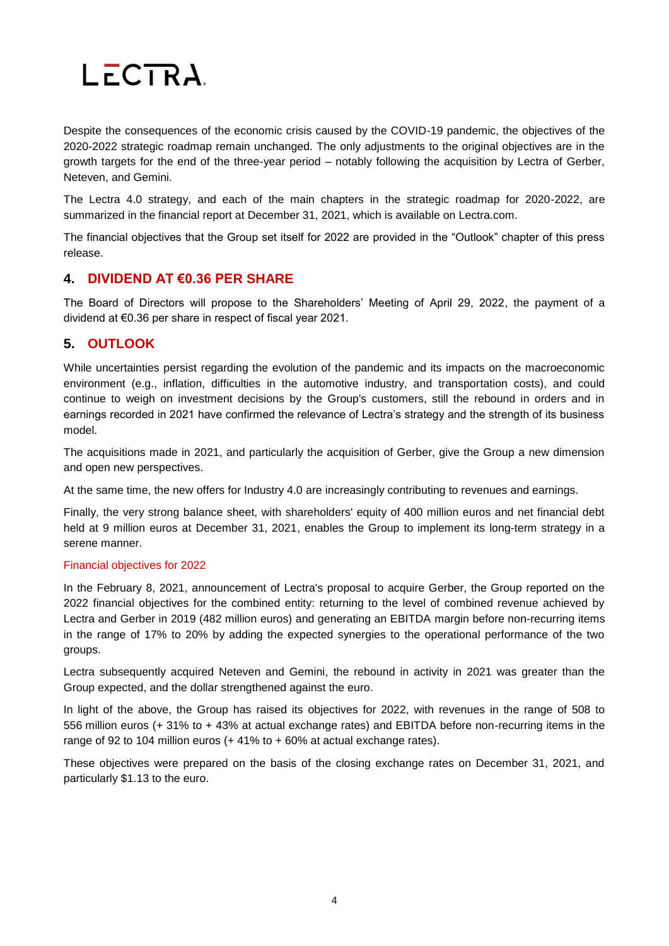

Despite the consequences of the economic crisis caused by the COVID-19 pandemic, the objectives of the 2020-2022 strategic roadmap remain unchanged. The only adjustments to the original objectives are in the growth targets for the end of the three-year period – notably following the acquisition by Lectra of Gerber, Neteven, and Gemini.

The Lectra 4.0 strategy, and each of the main chapters in the strategic roadmap for 2020-2022, are summarized in the financial report at December 31, 2021, which is available on Lectra.com.

The financial objectives that the Group set itself for 2022 are provided in the "Outlook" chapter of this press release.

### **4. DIVIDEND AT €0.36 PER SHARE**

The Board of Directors will propose to the Shareholders' Meeting of April 29, 2022, the payment of a dividend at €0.36 per share in respect of fiscal year 2021.

# **5. OUTLOOK**

While uncertainties persist regarding the evolution of the pandemic and its impacts on the macroeconomic environment (e.g., inflation, difficulties in the automotive industry, and transportation costs), and could continue to weigh on investment decisions by the Group's customers, still the rebound in orders and in earnings recorded in 2021 have confirmed the relevance of Lectra's strategy and the strength of its business model.

The acquisitions made in 2021, and particularly the acquisition of Gerber, give the Group a new dimension and open new perspectives.

At the same time, the new offers for Industry 4.0 are increasingly contributing to revenues and earnings.

Finally, the very strong balance sheet, with shareholders' equity of 400 million euros and net financial debt held at 9 million euros at December 31, 2021, enables the Group to implement its long-term strategy in a serene manner.

#### Financial objectives for 2022

In the February 8, 2021, announcement of Lectra's proposal to acquire Gerber, the Group reported on the 2022 financial objectives for the combined entity: returning to the level of combined revenue achieved by Lectra and Gerber in 2019 (482 million euros) and generating an EBITDA margin before non-recurring items in the range of 17% to 20% by adding the expected synergies to the operational performance of the two groups.

Lectra subsequently acquired Neteven and Gemini, the rebound in activity in 2021 was greater than the Group expected, and the dollar strengthened against the euro.

In light of the above, the Group has raised its objectives for 2022, with revenues in the range of 508 to 556 million euros (+ 31% to + 43% at actual exchange rates) and EBITDA before non-recurring items in the range of 92 to 104 million euros  $(+ 41\%$  to  $+ 60\%$  at actual exchange rates).

These objectives were prepared on the basis of the closing exchange rates on December 31, 2021, and particularly \$1.13 to the euro.